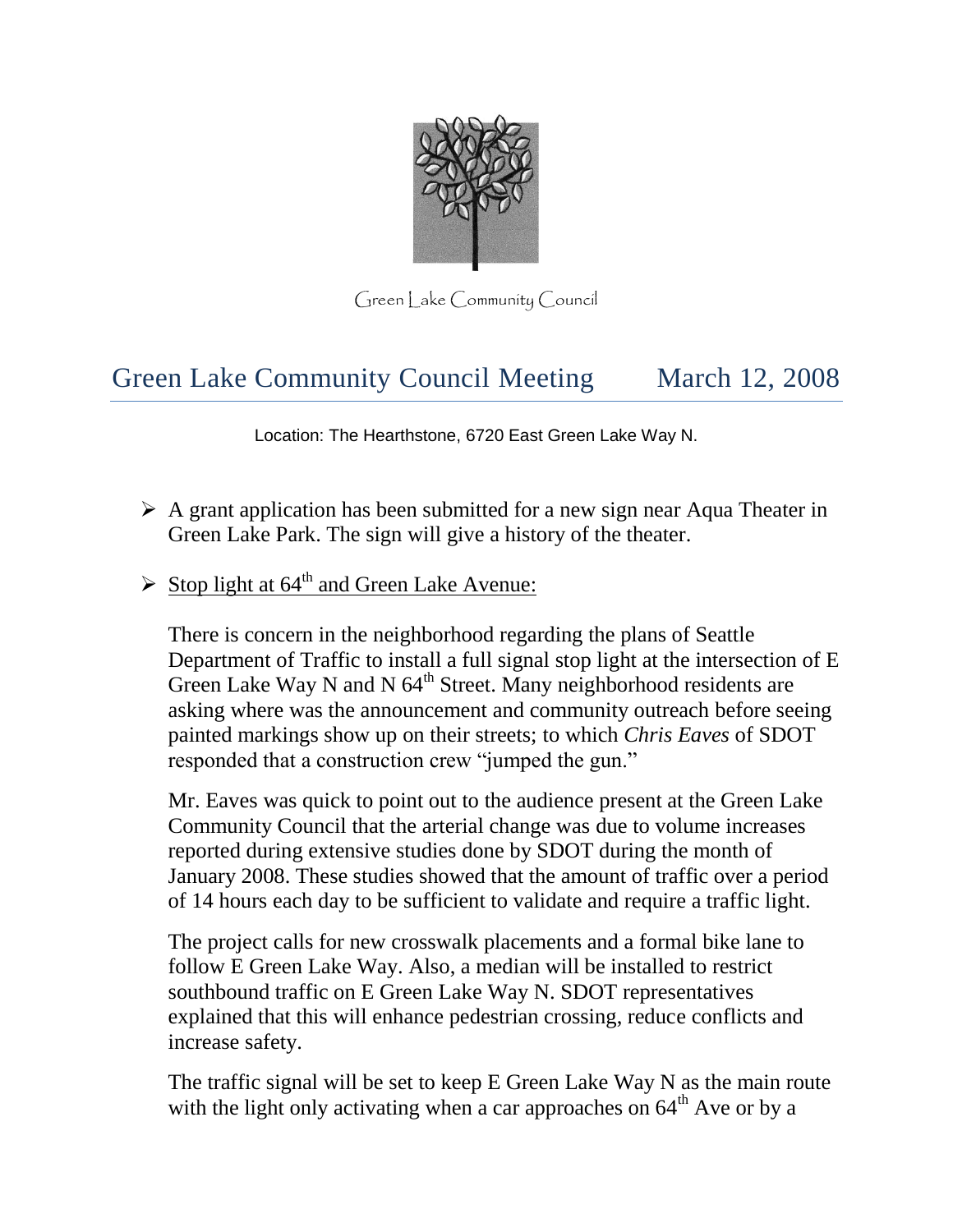

 $Green$  ake Community Council

# Green Lake Community Council Meeting March 12, 2008

Location: The Hearthstone, 6720 East Green Lake Way N.

- $\triangleright$  A grant application has been submitted for a new sign near Aqua Theater in Green Lake Park. The sign will give a history of the theater.
- $\triangleright$  Stop light at 64<sup>th</sup> and Green Lake Avenue:

There is concern in the neighborhood regarding the plans of Seattle Department of Traffic to install a full signal stop light at the intersection of E Green Lake Way N and N  $64<sup>th</sup>$  Street. Many neighborhood residents are asking where was the announcement and community outreach before seeing painted markings show up on their streets; to which *Chris Eaves* of SDOT responded that a construction crew "jumped the gun."

Mr. Eaves was quick to point out to the audience present at the Green Lake Community Council that the arterial change was due to volume increases reported during extensive studies done by SDOT during the month of January 2008. These studies showed that the amount of traffic over a period of 14 hours each day to be sufficient to validate and require a traffic light.

The project calls for new crosswalk placements and a formal bike lane to follow E Green Lake Way. Also, a median will be installed to restrict southbound traffic on E Green Lake Way N. SDOT representatives explained that this will enhance pedestrian crossing, reduce conflicts and increase safety.

The traffic signal will be set to keep E Green Lake Way N as the main route with the light only activating when a car approaches on  $64<sup>th</sup>$  Ave or by a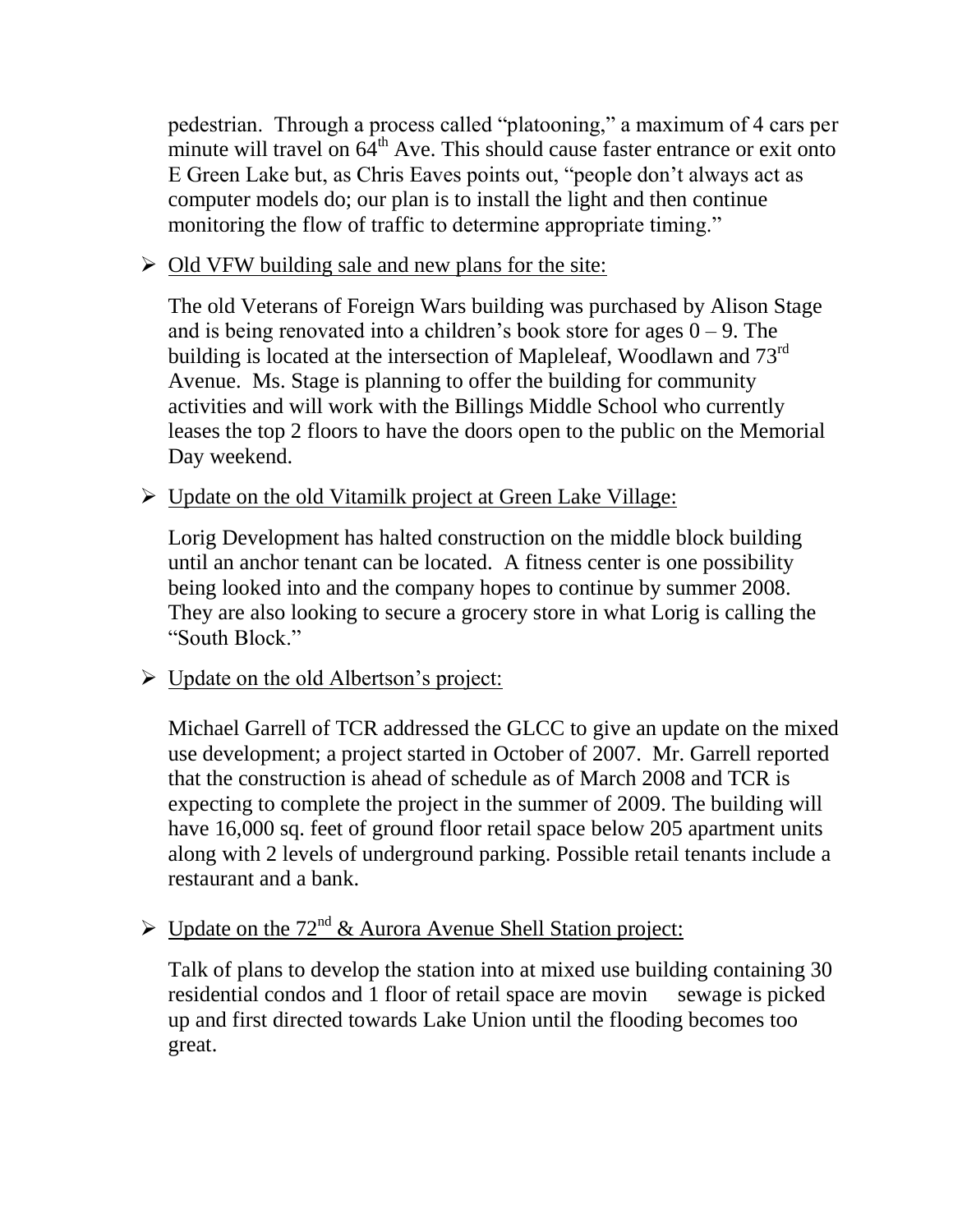pedestrian. Through a process called "platooning," a maximum of 4 cars per minute will travel on  $64^{\text{th}}$  Ave. This should cause faster entrance or exit onto E Green Lake but, as Chris Eaves points out, "people don't always act as computer models do; our plan is to install the light and then continue monitoring the flow of traffic to determine appropriate timing."

 $\triangleright$  Old VFW building sale and new plans for the site:

The old Veterans of Foreign Wars building was purchased by Alison Stage and is being renovated into a children's book store for ages  $0 - 9$ . The building is located at the intersection of Mapleleaf, Woodlawn and 73<sup>rd</sup> Avenue. Ms. Stage is planning to offer the building for community activities and will work with the Billings Middle School who currently leases the top 2 floors to have the doors open to the public on the Memorial Day weekend.

Update on the old Vitamilk project at Green Lake Village:

Lorig Development has halted construction on the middle block building until an anchor tenant can be located. A fitness center is one possibility being looked into and the company hopes to continue by summer 2008. They are also looking to secure a grocery store in what Lorig is calling the "South Block."

# $\triangleright$  Update on the old Albertson's project:

Michael Garrell of TCR addressed the GLCC to give an update on the mixed use development; a project started in October of 2007. Mr. Garrell reported that the construction is ahead of schedule as of March 2008 and TCR is expecting to complete the project in the summer of 2009. The building will have 16,000 sq. feet of ground floor retail space below 205 apartment units along with 2 levels of underground parking. Possible retail tenants include a restaurant and a bank.

# $\triangleright$  Update on the 72<sup>nd</sup> & Aurora Avenue Shell Station project:

Talk of plans to develop the station into at mixed use building containing 30 residential condos and 1 floor of retail space are movin sewage is picked up and first directed towards Lake Union until the flooding becomes too great.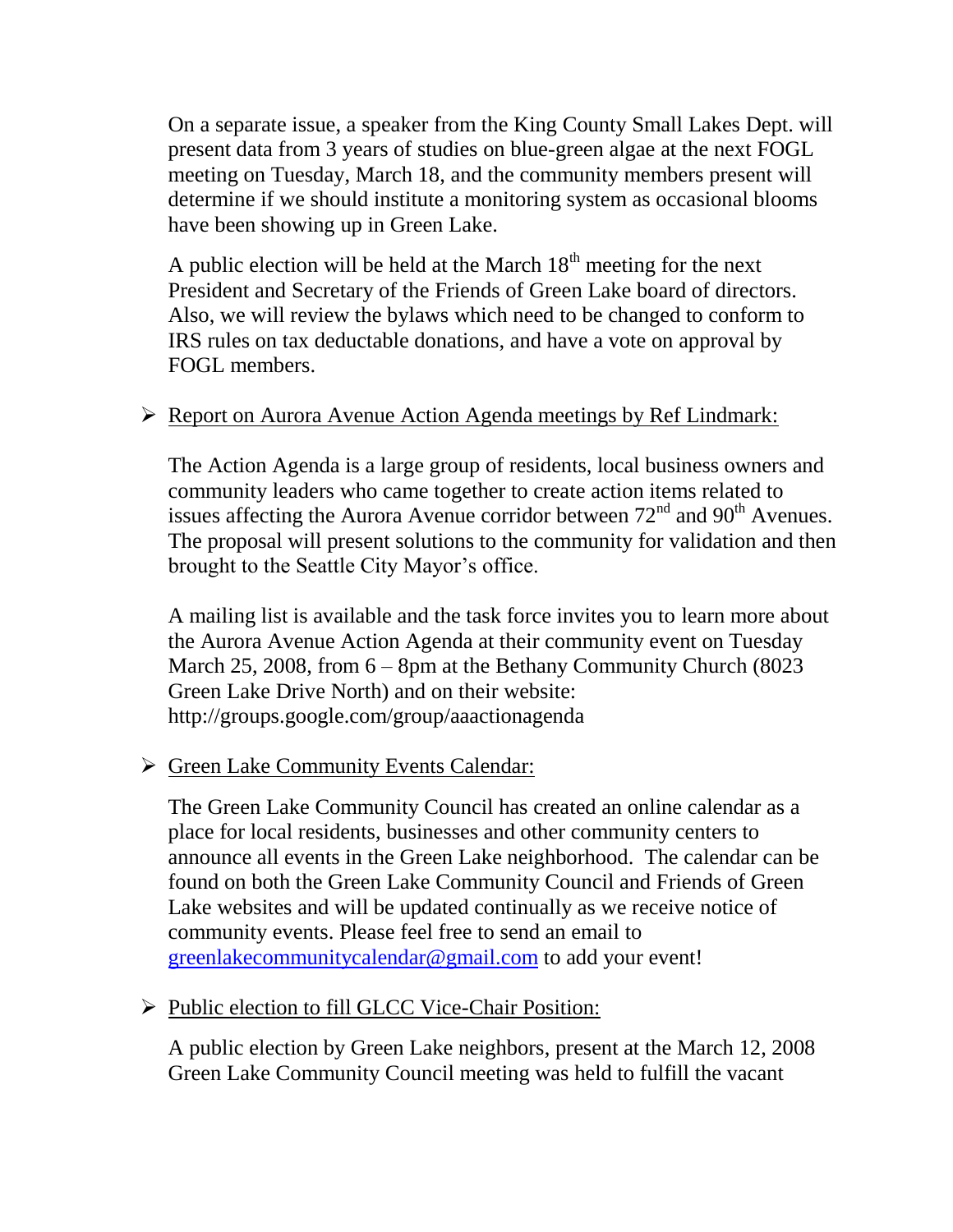On a separate issue, a speaker from the King County Small Lakes Dept. will present data from 3 years of studies on blue-green algae at the next FOGL meeting on Tuesday, March 18, and the community members present will determine if we should institute a monitoring system as occasional blooms have been showing up in Green Lake.

A public election will be held at the March  $18<sup>th</sup>$  meeting for the next President and Secretary of the Friends of Green Lake board of directors. Also, we will review the bylaws which need to be changed to conform to IRS rules on tax deductable donations, and have a vote on approval by FOGL members.

### ▶ Report on Aurora Avenue Action Agenda meetings by Ref Lindmark:

The Action Agenda is a large group of residents, local business owners and community leaders who came together to create action items related to issues affecting the Aurora Avenue corridor between  $72<sup>nd</sup>$  and  $90<sup>th</sup>$  Avenues. The proposal will present solutions to the community for validation and then brought to the Seattle City Mayor's office.

A mailing list is available and the task force invites you to learn more about the Aurora Avenue Action Agenda at their community event on Tuesday March 25, 2008, from  $6 - 8$ pm at the Bethany Community Church (8023) Green Lake Drive North) and on their website: http://groups.google.com/group/aaactionagenda

#### Green Lake Community Events Calendar:

The Green Lake Community Council has created an online calendar as a place for local residents, businesses and other community centers to announce all events in the Green Lake neighborhood. The calendar can be found on both the Green Lake Community Council and Friends of Green Lake websites and will be updated continually as we receive notice of community events. Please feel free to send an email to [greenlakecommunitycalendar@gmail.com](mailto:greenlakecommunitycalendar@gmail.com) to add your event!

#### Public election to fill GLCC Vice-Chair Position:

A public election by Green Lake neighbors, present at the March 12, 2008 Green Lake Community Council meeting was held to fulfill the vacant